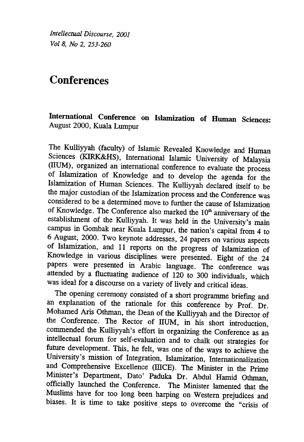Intellectual Discourse, 2001 Vol 8, No 2, 253-260

# **Conferences**

International Conference on Islamization of Human Sciences: August 2000, Kuala Lumpur

The Kulliyyah (faculty) of Islamic Revealed Knowledge and Human Sciences (KIRK&HS), International Islamic University of Malaysia (IIUM), organized an international conference to evaluate the process of Islamization of Knowledge and to develop the agenda for the Islamization of Human Sciences. The Kulliyyah declared itself to be the major custodian of the Islamization process and the Conference was considered to be a determined move to further the cause of Islamization of Knowledge. The Conference also marked the  $10<sup>th</sup>$  anniversary of the establishment of the Kulliyyah. It was held in the University's main campus in Gombak near Kuala Lumpur, the nation's capital from 4 to 6 August, 2000. Two keynote addresses, 24 papers on various aspects of Islamization, and 11 reports on the progress of Islamization of Knowledge in various disciplines were presented. Eight of the 24 papers were presented in Arabic language. The conference was attended by a fluctuating audience of 120 to 300 individuals, which was ideal for a discourse on a variety of lively and critical ideas.

The opening ceremony consisted of a short programme briefmg and an explanation of the rationale for this conference by Prof. Dr. Mohamed Aris Othman, the Dean of the Kulliyyah and the Director of the Conference. The Rector of IIUM, in his short introduction, commended the Kulliyyah's effort in organizing the Conference as an intellectual forum for self-evaluation and to chalk out strategies for future development. This, he felt, was one of the ways to achieve the University's mission of Integration, Islamization, Internationalization and Comprehensive Excellence (IIICE). The Minister in the Prime Minister's Department, Dato' Paduka Dr. Abdul Hamid Othman, officially launched the Conference. The Minister lamented that the Muslims have for too long been harping on Western prejudices and biases. It is time to take positive, steps to overcome the "crisis of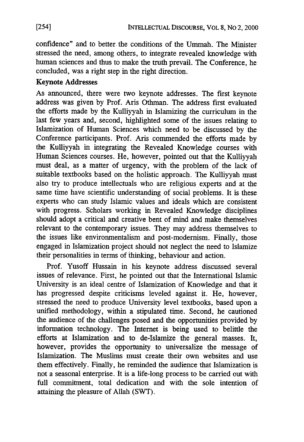confidence" and to better the conditions of the Ummah. The Minister stressed the need, among others, to integrate revealed knowledge with human sciences and thus to make the truth prevail. The Conference, he concluded, was a right step in the right direction.

## Keynote Addresses

As announced, there were two keynote addresses. The first keynote address was given by Prof. Aris Othman. The address first evaluated the efforts made by the Kulliyyah in Islamizing .the curriculum in the last few years and, second, highlighted some of the issues relating to Islamization of Human Sciences which need to be discussed by the Conference participants. Prof. Aris commended the efforts made by the Kulliyyah in integrating the Revealed Knowledge courses with Human Sciences courses. He, however, pointed out that the Kulliyyah must deal, as a matter of urgency, with the problem of the lack of suitable textbooks based on the holistic approach. The Kulliyyah must also try to produce intellectuals who are religious experts and at the same time have scientific understanding of social problems. It is these experts who can study Islamic values and ideals which are consistent with progress. Scholars working in Revealed Knowledge disciplines should adopt a critical and creative bent of mind and make themselves relevant to the contemporary issues. They may address themselves to the issues like environmentalism and post-modernism. Finally, those engaged in Islamization project should not neglect the need to Islamize their personalities in terms of thinking, behaviour and action.

Prof. Yusoff Hussain in his keynote address discussed several issues of relevance. First, he pointed out that the International Islamic University is an ideal centre of Islamization of Knowledge and that it has progressed despite criticisms leveled against it. He, however, stressed the need to produce University level textbooks, based upon a unified methodology, within a stipulated time. Second, he cautioned the audience of the challenges posed and the opportunities provided by information technology. The Internet is being used to belittle the efforts at Islamization and to de-Islamize the general masses. It, however, provides the opportunity to universalize the message of Islamization. The Muslims must create their own websites and use them effectively. Finally, he reminded the audience that Islamization is not a seasonal enterprise. It is a life-long process to be carried out with full commitment, total dedication and with the sole intention of attaining the pleasure of Allah (SWT).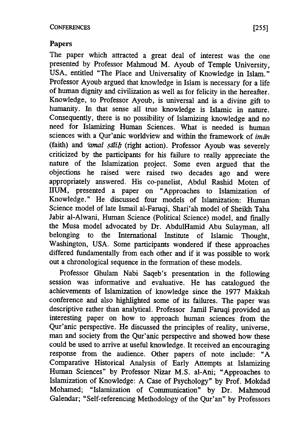### Papers

The paper which attracted a great deal of interest was the one presented by Professor Mahmoud M. Ayoub of Temple University, USA, entitled "The Place and Universality of Knowledge in Islam." Professor Ayoub argued that knowledge in Islam is necessary for a life of human dignity and civilization as well as for felicity in the hereafter. Knowledge, to Professor Ayoub, is universal and is a divine gift to humanity. In that sense all true knowledge is Islamic in nature. Consequently, there is no possibility of Islamizing knowledge and no need for Islamizing Human Sciences. What is needed is human sciences with a Qur'anic worldview and within the framework of  $im\bar{a}n$ (faith) and 'amal  $s$ alih (right action). Professor Ayoub was severely criticized by the participants for his failure to really appreciate the nature of the Islamization project. Some even argued that the objections he raised were raised two decades ago and were appropriately answered. His co-panelist, Abdul Rashid Moten of IIUM, presented a paper on "Approaches to Islamization of Knowledge." He discussed four models of Islamization: Human Science model of late Ismail al-Faruqi, Shari'ah model of Sheikh Taha Jabir al-Alwani, Human Science (Political Science) model, and finally the Musa model advocated by Dr. AbdulHamid Abu Sulayman, all belonging to the International Institute of Islamic Thought, Washington, USA. Some participants wondered if these approaches differed fundamentally from each other and if it was possible to work out a chronological sequence in the formation of these models.

Professor Ghulam Nabi Saqeb's presentation in the following session was informative and evaluative. He has catalogued the achievements of Islamization of knowledge since the 1977 Makkah conference and also highlighted some of its failures. The paper was descriptive rather than analytical. Professor Jamil Faruqi provided an interesting paper on how to approach human sciences from the Qur'anic perspective. He discussed the principles of reality, universe, man and society from the Qur'anic perspective and showed how these could be used to arrive at useful knowledge. It received an encouraging response from the audience. Other papers of note include: "A Comparative Historical Analysis of Early Attempts at Islamizing Human Sciences" by Professor Nizar M.S. aI-Ani; "Approaches to Islamization of Knowledge: A Case of Psychology" by Prof. Mokdad Mohamed; "Islamization of Communication" by Dr. Mahmoud Galendar; "Self-referencing Methodology of the Qur'an" by Professors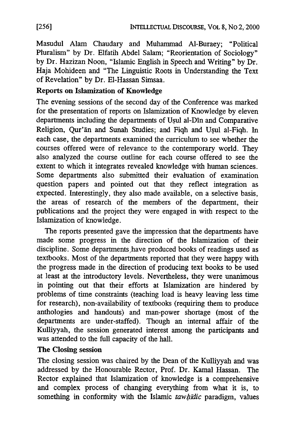Masudul Alam Chaudary and Muhammad Al-Buraey; "Political Pluralism" by Dr. Elfatih Abdel Salam; "Reorientation of Sociology" by Dr. Hazizan Noon, "Islamic English in Speech and Writing" by Dr. Haja Mohideen and "The Linguistic Roots in Understanding the Text of Revelation" by Dr. EI-Hassan Simsaa.

#### Reports on Islamization of Knowledge

The evening sessions of the second day of the Conference was marked for the presentation of reports on Islamization of Knowledge by eleven departments including the departments of Usul al-Din and Comparative Religion, Qur'an and Sunah Studies; and Fiqh and Usul al-Fiqh. In each case, the departments examined the curriculum to see whether the courses offered were of relevance to the contemporary world. They also analyzed the course outline for each course offered to see the extent to which it integrates revealed knowledge with human sciences. Some departments also submitted their evaluation of examination question papers and pointed out that they reflect integration as expected. Interestingly, they also made available, on a selective basis, the areas of research of the members of the department, their publications and the project they were engaged in with respect to the Islamization of knowledge.

The reports presented gave the impression that the departments have made some progress in the direction of the Islamization of their discipline. Some departments have produced books of readings used as textbooks. Most of the departments reported that they were happy with the progress made in the direction of producing text books to be used at least at the introductory levels. Nevertheless, they were unanimous in pointing out that their efforts at Islamization are hindered by problems of time constraints (teaching load is heavy leaving less time for research), non-availability of textbooks (requiring them to produce anthologies and handouts) and man-power shortage (most of the departments are under-staffed). Though an internal affair of the Kulliyyah, the session generated interest among the participants and was attended to the full capacity of the hall.

#### The Closing session

The closing session was chaired by the Dean of the Kulliyyah and was addressed by the Honourable Rector, Prof. Dr. Kamal Hassan. The Rector explained that Islamization of knowledge is a comprehensive and complex process of changing everything from what it is, to something in conformity with the Islamic *tawhidic* paradigm, values